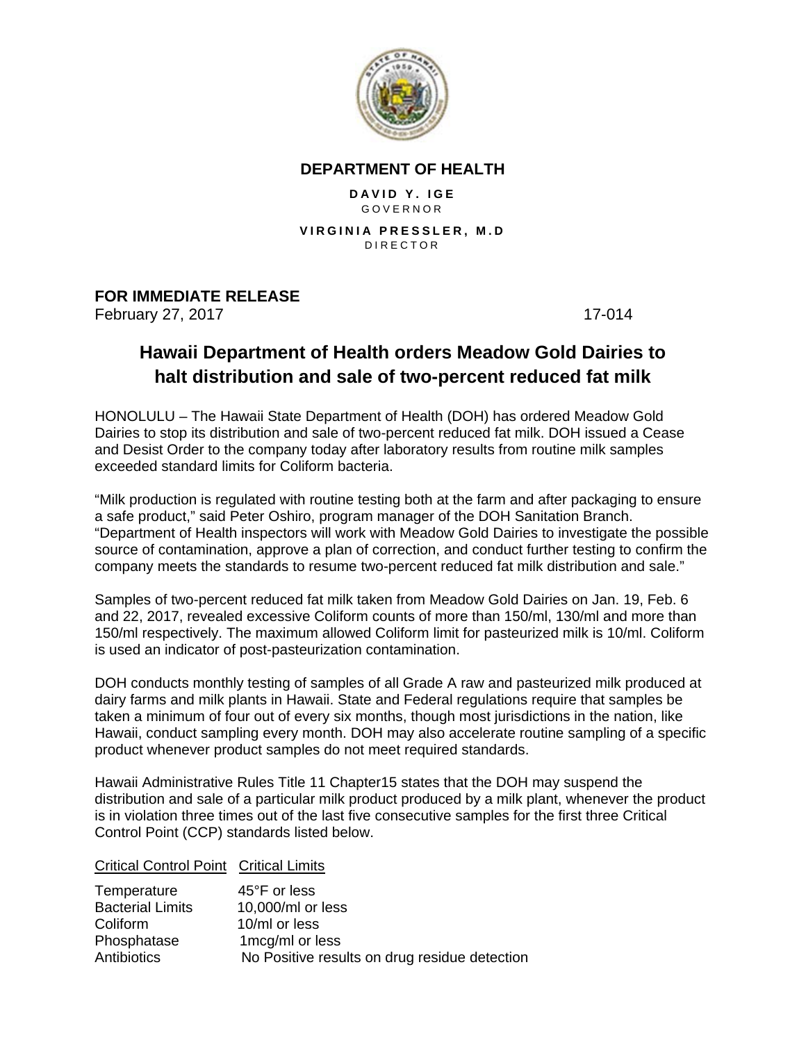

## **DEPARTMENT OF HEALTH**

**DAVID Y. IGE** GOVERNOR

**VIRGINIA PRESSLER, M.D**  DIRECTOR

## **FOR IMMEDIATE RELEASE**

February 27, 2017 17-014

## **Hawaii Department of Health orders Meadow Gold Dairies to halt distribution and sale of two-percent reduced fat milk**

HONOLULU – The Hawaii State Department of Health (DOH) has ordered Meadow Gold Dairies to stop its distribution and sale of two-percent reduced fat milk. DOH issued a Cease and Desist Order to the company today after laboratory results from routine milk samples exceeded standard limits for Coliform bacteria.

"Milk production is regulated with routine testing both at the farm and after packaging to ensure a safe product," said Peter Oshiro, program manager of the DOH Sanitation Branch. "Department of Health inspectors will work with Meadow Gold Dairies to investigate the possible source of contamination, approve a plan of correction, and conduct further testing to confirm the company meets the standards to resume two-percent reduced fat milk distribution and sale."

Samples of two-percent reduced fat milk taken from Meadow Gold Dairies on Jan. 19, Feb. 6 and 22, 2017, revealed excessive Coliform counts of more than 150/ml, 130/ml and more than 150/ml respectively. The maximum allowed Coliform limit for pasteurized milk is 10/ml. Coliform is used an indicator of post-pasteurization contamination.

DOH conducts monthly testing of samples of all Grade A raw and pasteurized milk produced at dairy farms and milk plants in Hawaii. State and Federal regulations require that samples be taken a minimum of four out of every six months, though most jurisdictions in the nation, like Hawaii, conduct sampling every month. DOH may also accelerate routine sampling of a specific product whenever product samples do not meet required standards.

Hawaii Administrative Rules Title 11 Chapter15 states that the DOH may suspend the distribution and sale of a particular milk product produced by a milk plant, whenever the product is in violation three times out of the last five consecutive samples for the first three Critical Control Point (CCP) standards listed below.

Critical Control Point Critical Limits

| Temperature             | 45°F or less                                  |
|-------------------------|-----------------------------------------------|
| <b>Bacterial Limits</b> | 10,000/ml or less                             |
| Coliform                | 10/ml or less                                 |
| Phosphatase             | 1 mcg/ml or less                              |
| Antibiotics             | No Positive results on drug residue detection |